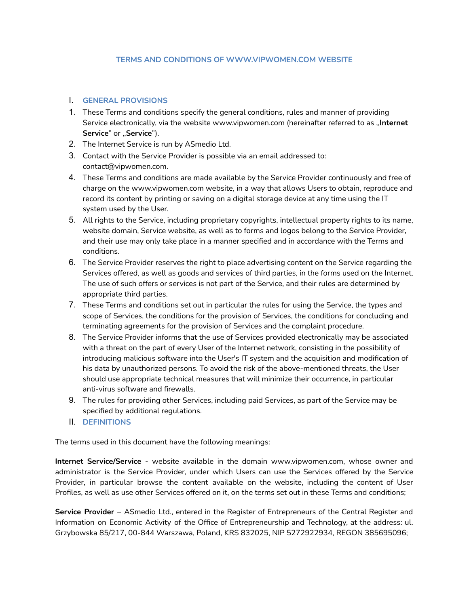#### **TERMS AND CONDITIONS OF WWW.VIPWOMEN.COM WEBSITE**

### I. **GENERAL PROVISIONS**

- 1. These Terms and conditions specify the general conditions, rules and manner of providing Service electronically, via the website www.vipwomen.com (hereinafter referred to as ,,**Internet Service**" or ,,**Service**").
- 2. The Internet Service is run by ASmedio Ltd.
- 3. Contact with the Service Provider is possible via an email addressed to: contact@vipwomen.com.
- 4. These Terms and conditions are made available by the Service Provider continuously and free of charge on the www.vipwomen.com website, in a way that allows Users to obtain, reproduce and record its content by printing or saving on a digital storage device at any time using the IT system used by the User.
- 5. All rights to the Service, including proprietary copyrights, intellectual property rights to its name, website domain, Service website, as well as to forms and logos belong to the Service Provider, and their use may only take place in a manner specified and in accordance with the Terms and conditions.
- 6. The Service Provider reserves the right to place advertising content on the Service regarding the Services offered, as well as goods and services of third parties, in the forms used on the Internet. The use of such offers or services is not part of the Service, and their rules are determined by appropriate third parties.
- 7. These Terms and conditions set out in particular the rules for using the Service, the types and scope of Services, the conditions for the provision of Services, the conditions for concluding and terminating agreements for the provision of Services and the complaint procedure.
- 8. The Service Provider informs that the use of Services provided electronically may be associated with a threat on the part of every User of the Internet network, consisting in the possibility of introducing malicious software into the User's IT system and the acquisition and modification of his data by unauthorized persons. To avoid the risk of the above-mentioned threats, the User should use appropriate technical measures that will minimize their occurrence, in particular anti-virus software and firewalls.
- 9. The rules for providing other Services, including paid Services, as part of the Service may be specified by additional regulations.
- II. **DEFINITIONS**

The terms used in this document have the following meanings:

**Internet Service/Service** - website available in the domain www.vipwomen.com, whose owner and administrator is the Service Provider, under which Users can use the Services offered by the Service Provider, in particular browse the content available on the website, including the content of User Profiles, as well as use other Services offered on it, on the terms set out in these Terms and conditions;

**Service Provider** – ASmedio Ltd., entered in the Register of Entrepreneurs of the Central Register and Information on Economic Activity of the Office of Entrepreneurship and Technology, at the address: ul. Grzybowska 85/217, 00-844 Warszawa, Poland, KRS 832025, NIP 5272922934, REGON 385695096;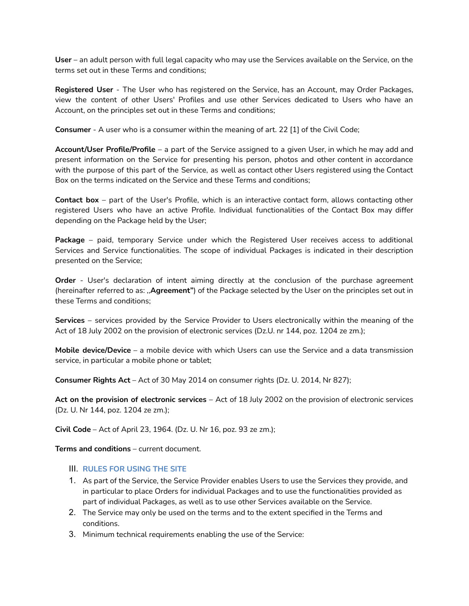**User** – an adult person with full legal capacity who may use the Services available on the Service, on the terms set out in these Terms and conditions;

**Registered User** - The User who has registered on the Service, has an Account, may Order Packages, view the content of other Users' Profiles and use other Services dedicated to Users who have an Account, on the principles set out in these Terms and conditions;

**Consumer** - A user who is a consumer within the meaning of art. 22 [1] of the Civil Code;

**Account/User Profile/Profile** – a part of the Service assigned to a given User, in which he may add and present information on the Service for presenting his person, photos and other content in accordance with the purpose of this part of the Service, as well as contact other Users registered using the Contact Box on the terms indicated on the Service and these Terms and conditions;

**Contact box** – part of the User's Profile, which is an interactive contact form, allows contacting other registered Users who have an active Profile. Individual functionalities of the Contact Box may differ depending on the Package held by the User;

**Package** – paid, temporary Service under which the Registered User receives access to additional Services and Service functionalities. The scope of individual Packages is indicated in their description presented on the Service;

**Order** - User's declaration of intent aiming directly at the conclusion of the purchase agreement (hereinafter referred to as: ,,**Agreement"**) of the Package selected by the User on the principles set out in these Terms and conditions;

**Services** – services provided by the Service Provider to Users electronically within the meaning of the Act of 18 July 2002 on the provision of electronic services (Dz.U. nr 144, poz. 1204 ze zm.);

**Mobile device/Device** – a mobile device with which Users can use the Service and a data transmission service, in particular a mobile phone or tablet;

**Consumer Rights Act** – Act of 30 May 2014 on consumer rights (Dz. U. 2014, Nr 827);

**Act on the provision of electronic services** – Act of 18 July 2002 on the provision of electronic services (Dz. U. Nr 144, poz. 1204 ze zm.);

**Civil Code** – Act of April 23, 1964. (Dz. U. Nr 16, poz. 93 ze zm.);

**Terms and conditions** – current document.

### III. **RULES FOR USING THE SITE**

- 1. As part of the Service, the Service Provider enables Users to use the Services they provide, and in particular to place Orders for individual Packages and to use the functionalities provided as part of individual Packages, as well as to use other Services available on the Service.
- 2. The Service may only be used on the terms and to the extent specified in the Terms and conditions.
- 3. Minimum technical requirements enabling the use of the Service: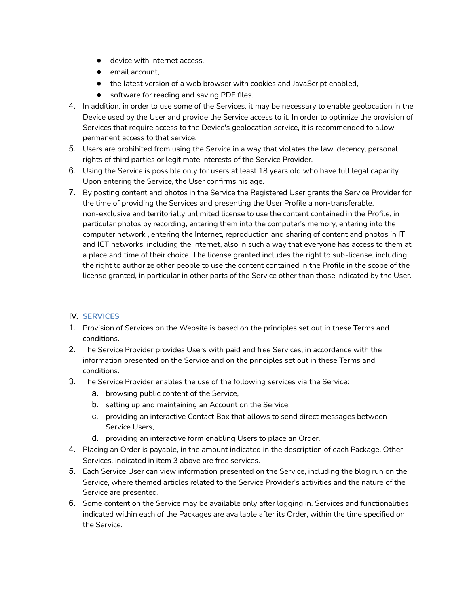- device with internet access.
- email account,
- the latest version of a web browser with cookies and JavaScript enabled,
- software for reading and saving PDF files.
- 4. In addition, in order to use some of the Services, it may be necessary to enable geolocation in the Device used by the User and provide the Service access to it. In order to optimize the provision of Services that require access to the Device's geolocation service, it is recommended to allow permanent access to that service.
- 5. Users are prohibited from using the Service in a way that violates the law, decency, personal rights of third parties or legitimate interests of the Service Provider.
- 6. Using the Service is possible only for users at least 18 years old who have full legal capacity. Upon entering the Service, the User confirms his age.
- 7. By posting content and photos in the Service the Registered User grants the Service Provider for the time of providing the Services and presenting the User Profile a non-transferable, non-exclusive and territorially unlimited license to use the content contained in the Profile, in particular photos by recording, entering them into the computer's memory, entering into the computer network , entering the Internet, reproduction and sharing of content and photos in IT and ICT networks, including the Internet, also in such a way that everyone has access to them at a place and time of their choice. The license granted includes the right to sub-license, including the right to authorize other people to use the content contained in the Profile in the scope of the license granted, in particular in other parts of the Service other than those indicated by the User.

# IV. **SERVICES**

- 1. Provision of Services on the Website is based on the principles set out in these Terms and conditions.
- 2. The Service Provider provides Users with paid and free Services, in accordance with the information presented on the Service and on the principles set out in these Terms and conditions.
- 3. The Service Provider enables the use of the following services via the Service:
	- a. browsing public content of the Service,
	- b. setting up and maintaining an Account on the Service,
	- c. providing an interactive Contact Box that allows to send direct messages between Service Users,
	- d. providing an interactive form enabling Users to place an Order.
- 4. Placing an Order is payable, in the amount indicated in the description of each Package. Other Services, indicated in item 3 above are free services.
- 5. Each Service User can view information presented on the Service, including the blog run on the Service, where themed articles related to the Service Provider's activities and the nature of the Service are presented.
- 6. Some content on the Service may be available only after logging in. Services and functionalities indicated within each of the Packages are available after its Order, within the time specified on the Service.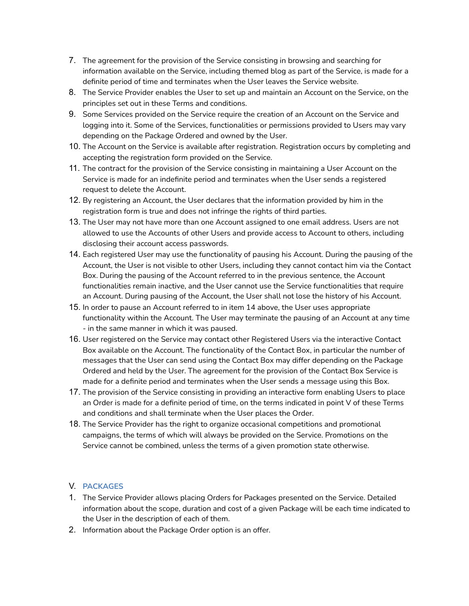- 7. The agreement for the provision of the Service consisting in browsing and searching for information available on the Service, including themed blog as part of the Service, is made for a definite period of time and terminates when the User leaves the Service website.
- 8. The Service Provider enables the User to set up and maintain an Account on the Service, on the principles set out in these Terms and conditions.
- 9. Some Services provided on the Service require the creation of an Account on the Service and logging into it. Some of the Services, functionalities or permissions provided to Users may vary depending on the Package Ordered and owned by the User.
- 10. The Account on the Service is available after registration. Registration occurs by completing and accepting the registration form provided on the Service.
- 11. The contract for the provision of the Service consisting in maintaining a User Account on the Service is made for an indefinite period and terminates when the User sends a registered request to delete the Account.
- 12. By registering an Account, the User declares that the information provided by him in the registration form is true and does not infringe the rights of third parties.
- 13. The User may not have more than one Account assigned to one email address. Users are not allowed to use the Accounts of other Users and provide access to Account to others, including disclosing their account access passwords.
- 14. Each registered User may use the functionality of pausing his Account. During the pausing of the Account, the User is not visible to other Users, including they cannot contact him via the Contact Box. During the pausing of the Account referred to in the previous sentence, the Account functionalities remain inactive, and the User cannot use the Service functionalities that require an Account. During pausing of the Account, the User shall not lose the history of his Account.
- 15. In order to pause an Account referred to in item 14 above, the User uses appropriate functionality within the Account. The User may terminate the pausing of an Account at any time - in the same manner in which it was paused.
- 16. User registered on the Service may contact other Registered Users via the interactive Contact Box available on the Account. The functionality of the Contact Box, in particular the number of messages that the User can send using the Contact Box may differ depending on the Package Ordered and held by the User. The agreement for the provision of the Contact Box Service is made for a definite period and terminates when the User sends a message using this Box.
- 17. The provision of the Service consisting in providing an interactive form enabling Users to place an Order is made for a definite period of time, on the terms indicated in point V of these Terms and conditions and shall terminate when the User places the Order.
- 18. The Service Provider has the right to organize occasional competitions and promotional campaigns, the terms of which will always be provided on the Service. Promotions on the Service cannot be combined, unless the terms of a given promotion state otherwise.

### V. **PACKAGES**

- 1. The Service Provider allows placing Orders for Packages presented on the Service. Detailed information about the scope, duration and cost of a given Package will be each time indicated to the User in the description of each of them.
- 2. Information about the Package Order option is an offer.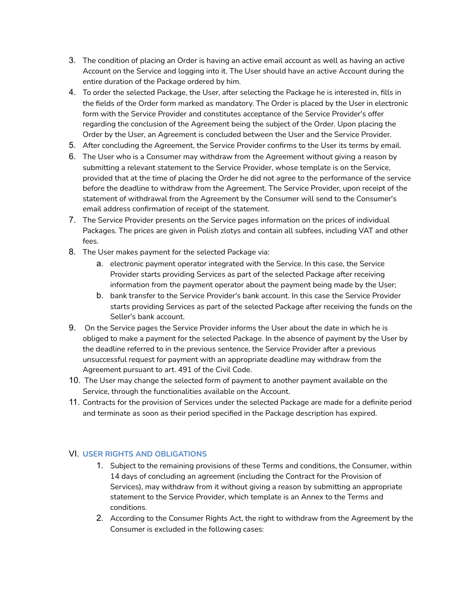- 3. The condition of placing an Order is having an active email account as well as having an active Account on the Service and logging into it. The User should have an active Account during the entire duration of the Package ordered by him.
- 4. To order the selected Package, the User, after selecting the Package he is interested in, fills in the fields of the Order form marked as mandatory. The Order is placed by the User in electronic form with the Service Provider and constitutes acceptance of the Service Provider's offer regarding the conclusion of the Agreement being the subject of the Order. Upon placing the Order by the User, an Agreement is concluded between the User and the Service Provider.
- 5. After concluding the Agreement, the Service Provider confirms to the User its terms by email.
- 6. The User who is a Consumer may withdraw from the Agreement without giving a reason by submitting a relevant statement to the Service Provider, whose template is on the Service, provided that at the time of placing the Order he did not agree to the performance of the service before the deadline to withdraw from the Agreement. The Service Provider, upon receipt of the statement of withdrawal from the Agreement by the Consumer will send to the Consumer's email address confirmation of receipt of the statement.
- 7. The Service Provider presents on the Service pages information on the prices of individual Packages. The prices are given in Polish zlotys and contain all subfees, including VAT and other fees.
- 8. The User makes payment for the selected Package via:
	- a. electronic payment operator integrated with the Service. In this case, the Service Provider starts providing Services as part of the selected Package after receiving information from the payment operator about the payment being made by the User;
	- b. bank transfer to the Service Provider's bank account. In this case the Service Provider starts providing Services as part of the selected Package after receiving the funds on the Seller's bank account.
- 9. On the Service pages the Service Provider informs the User about the date in which he is obliged to make a payment for the selected Package. In the absence of payment by the User by the deadline referred to in the previous sentence, the Service Provider after a previous unsuccessful request for payment with an appropriate deadline may withdraw from the Agreement pursuant to art. 491 of the Civil Code.
- 10. The User may change the selected form of payment to another payment available on the Service, through the functionalities available on the Account.
- 11. Contracts for the provision of Services under the selected Package are made for a definite period and terminate as soon as their period specified in the Package description has expired.

# VI. **USER RIGHTS AND OBLIGATIONS**

- 1. Subject to the remaining provisions of these Terms and conditions, the Consumer, within 14 days of concluding an agreement (including the Contract for the Provision of Services), may withdraw from it without giving a reason by submitting an appropriate statement to the Service Provider, which template is an Annex to the Terms and conditions.
- 2. According to the Consumer Rights Act, the right to withdraw from the Agreement by the Consumer is excluded in the following cases: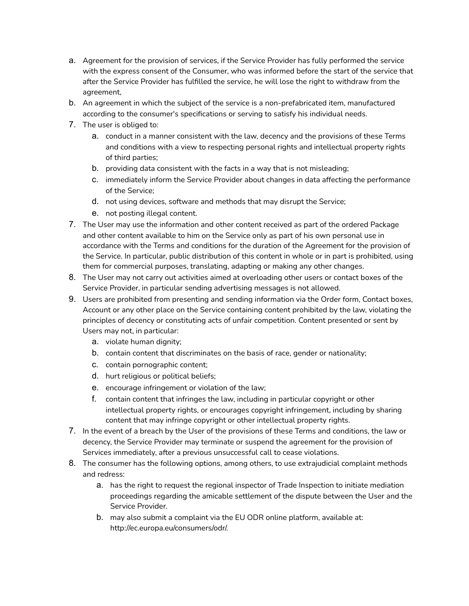- a. Agreement for the provision of services, if the Service Provider has fully performed the service with the express consent of the Consumer, who was informed before the start of the service that after the Service Provider has fulfilled the service, he will lose the right to withdraw from the agreement,
- b. An agreement in which the subject of the service is a non-prefabricated item, manufactured according to the consumer's specifications or serving to satisfy his individual needs.
- 7. The user is obliged to:
	- a. conduct in a manner consistent with the law, decency and the provisions of these Terms and conditions with a view to respecting personal rights and intellectual property rights of third parties;
	- b. providing data consistent with the facts in a way that is not misleading;
	- c. immediately inform the Service Provider about changes in data affecting the performance of the Service;
	- d. not using devices, software and methods that may disrupt the Service;
	- e. not posting illegal content.
- 7. The User may use the information and other content received as part of the ordered Package and other content available to him on the Service only as part of his own personal use in accordance with the Terms and conditions for the duration of the Agreement for the provision of the Service. In particular, public distribution of this content in whole or in part is prohibited, using them for commercial purposes, translating, adapting or making any other changes.
- 8. The User may not carry out activities aimed at overloading other users or contact boxes of the Service Provider, in particular sending advertising messages is not allowed.
- 9. Users are prohibited from presenting and sending information via the Order form, Contact boxes, Account or any other place on the Service containing content prohibited by the law, violating the principles of decency or constituting acts of unfair competition. Content presented or sent by Users may not, in particular:
	- a. violate human dignity;
	- b. contain content that discriminates on the basis of race, gender or nationality;
	- c. contain pornographic content;
	- d. hurt religious or political beliefs;
	- e. encourage infringement or violation of the law;
	- f. contain content that infringes the law, including in particular copyright or other intellectual property rights, or encourages copyright infringement, including by sharing content that may infringe copyright or other intellectual property rights.
- 7. In the event of a breach by the User of the provisions of these Terms and conditions, the law or decency, the Service Provider may terminate or suspend the agreement for the provision of Services immediately, after a previous unsuccessful call to cease violations.
- 8. The consumer has the following options, among others, to use extrajudicial complaint methods and redress:
	- a. has the right to request the regional inspector of Trade Inspection to initiate mediation proceedings regarding the amicable settlement of the dispute between the User and the Service Provider.
	- b. may also submit a complaint via the EU ODR online platform, available at: http://ec.europa.eu/consumers/odr/.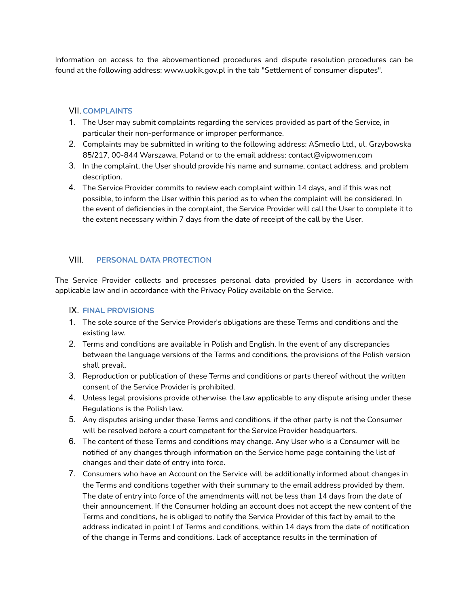Information on access to the abovementioned procedures and dispute resolution procedures can be found at the following address: [www.uokik.gov.pl](http://www.uokik.gov.pl/) in the tab "Settlement of consumer disputes".

### VII.**COMPLAINTS**

- 1. The User may submit complaints regarding the services provided as part of the Service, in particular their non-performance or improper performance.
- 2. Complaints may be submitted in writing to the following address: ASmedio Ltd., ul. Grzybowska 85/217, 00-844 Warszawa, Poland or to the email address: contact@vipwomen.com
- 3. In the complaint, the User should provide his name and surname, contact address, and problem description.
- 4. The Service Provider commits to review each complaint within 14 days, and if this was not possible, to inform the User within this period as to when the complaint will be considered. In the event of deficiencies in the complaint, the Service Provider will call the User to complete it to the extent necessary within 7 days from the date of receipt of the call by the User.

### VIII. **PERSONAL DATA PROTECTION**

The Service Provider collects and processes personal data provided by Users in accordance with applicable law and in accordance with the Privacy Policy available on the Service.

### IX. **FINAL PROVISIONS**

- 1. The sole source of the Service Provider's obligations are these Terms and conditions and the existing law.
- 2. Terms and conditions are available in Polish and English. In the event of any discrepancies between the language versions of the Terms and conditions, the provisions of the Polish version shall prevail.
- 3. Reproduction or publication of these Terms and conditions or parts thereof without the written consent of the Service Provider is prohibited.
- 4. Unless legal provisions provide otherwise, the law applicable to any dispute arising under these Regulations is the Polish law.
- 5. Any disputes arising under these Terms and conditions, if the other party is not the Consumer will be resolved before a court competent for the Service Provider headquarters.
- 6. The content of these Terms and conditions may change. Any User who is a Consumer will be notified of any changes through information on the Service home page containing the list of changes and their date of entry into force.
- 7. Consumers who have an Account on the Service will be additionally informed about changes in the Terms and conditions together with their summary to the email address provided by them. The date of entry into force of the amendments will not be less than 14 days from the date of their announcement. If the Consumer holding an account does not accept the new content of the Terms and conditions, he is obliged to notify the Service Provider of this fact by email to the address indicated in point I of Terms and conditions, within 14 days from the date of notification of the change in Terms and conditions. Lack of acceptance results in the termination of